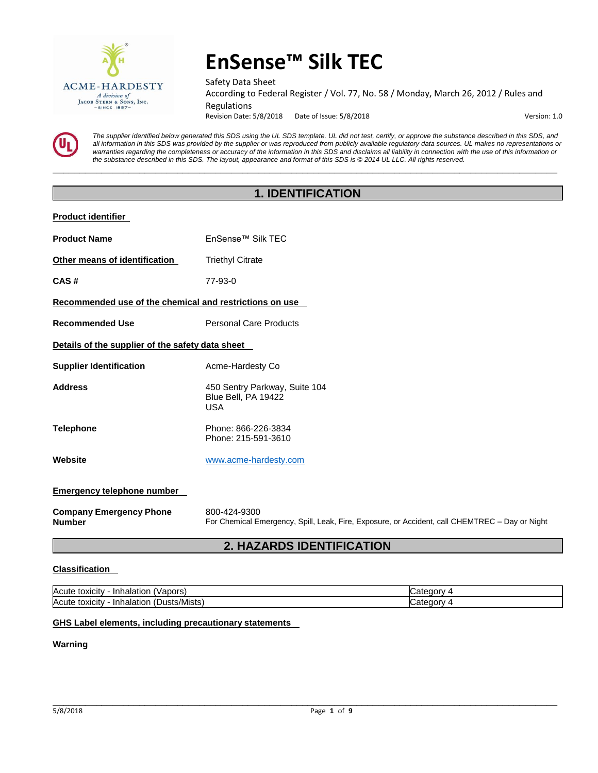

Safety Data Sheet

According to Federal Register / Vol. 77, No. 58 / Monday, March 26, 2012 / Rules and Regulations

Revision Date: 5/8/2018 Date of Issue: 5/8/2018 Version: 1.0

*The supplier identified below generated this SDS using the UL SDS template. UL did not test, certify, or approve the substance described in this SDS, and all information in this SDS was provided by the supplier or was reproduced from publicly available regulatory data sources. UL makes no representations or warranties regarding the completeness or accuracy of the information in this SDS and disclaims all liability in connection with the use of this information or the substance described in this SDS. The layout, appearance and format of this SDS is © 2014 UL LLC. All rights reserved.* 

## **1. IDENTIFICATION**

**\_\_\_\_\_\_\_\_\_\_\_\_\_\_\_\_\_\_\_\_\_\_\_\_\_\_\_\_\_\_\_\_\_\_\_\_\_\_\_\_\_\_\_\_\_\_\_\_\_\_\_\_\_\_\_\_\_\_\_\_\_\_\_\_\_\_\_\_\_\_\_\_\_\_\_\_\_\_\_\_\_\_\_\_\_\_\_\_\_\_\_\_\_** 

### **Product identifier**

| <b>Product Name</b>                                     | EnSense™ Silk TEC                                                                                              |
|---------------------------------------------------------|----------------------------------------------------------------------------------------------------------------|
| Other means of identification                           | <b>Triethyl Citrate</b>                                                                                        |
| CAS#                                                    | 77-93-0                                                                                                        |
| Recommended use of the chemical and restrictions on use |                                                                                                                |
| <b>Recommended Use</b>                                  | <b>Personal Care Products</b>                                                                                  |
| Details of the supplier of the safety data sheet        |                                                                                                                |
| <b>Supplier Identification</b>                          | Acme-Hardesty Co                                                                                               |
| <b>Address</b>                                          | 450 Sentry Parkway, Suite 104<br>Blue Bell, PA 19422<br><b>USA</b>                                             |
| <b>Telephone</b>                                        | Phone: 866-226-3834<br>Phone: 215-591-3610                                                                     |
| Website                                                 | www.acme-hardesty.com                                                                                          |
| <b>Emergency telephone number</b>                       |                                                                                                                |
| <b>Company Emergency Phone</b><br><b>Number</b>         | 800-424-9300<br>For Chemical Emergency, Spill, Leak, Fire, Exposure, or Accident, call CHEMTREC - Day or Night |

## **2. HAZARDS IDENTIFICATION**

## **Classification**

| Acute<br>(Vapors.<br>nalatior<br>toxicity<br>nr  |  |
|--------------------------------------------------|--|
| Acute<br>(Dusts/Mists)<br>Inhalatior<br>toxicity |  |

\_\_\_\_\_\_\_\_\_\_\_\_\_\_\_\_\_\_\_\_\_\_\_\_\_\_\_\_\_\_\_\_\_\_\_\_\_\_\_\_\_\_\_\_\_\_\_\_\_\_\_\_\_\_\_\_\_\_\_\_\_\_\_\_\_\_\_\_\_\_\_\_\_\_\_\_\_\_\_\_\_\_\_\_\_\_\_\_\_\_\_\_\_

## **GHS Label elements, including precautionary statements**

### **Warning**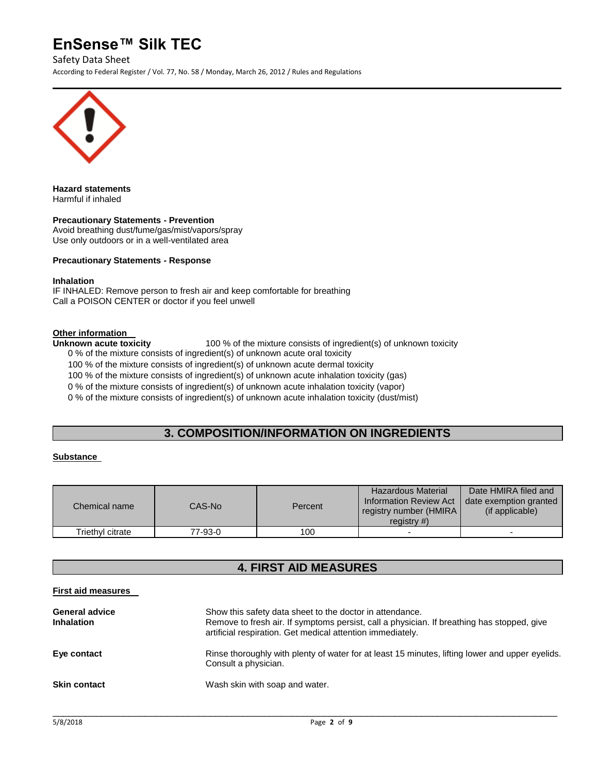### Safety Data Sheet

According to Federal Register / Vol. 77, No. 58 / Monday, March 26, 2012 / Rules and Regulations



#### **Hazard statements**  Harmful if inhaled

### **Precautionary Statements - Prevention**

Avoid breathing dust/fume/gas/mist/vapors/spray Use only outdoors or in a well-ventilated area

#### **Precautionary Statements - Response**

#### **Inhalation**

IF INHALED: Remove person to fresh air and keep comfortable for breathing Call a POISON CENTER or doctor if you feel unwell

# **Other information**<br>Unknown acute toxicity

100 % of the mixture consists of ingredient(s) of unknown toxicity

0 % of the mixture consists of ingredient(s) of unknown acute oral toxicity

100 % of the mixture consists of ingredient(s) of unknown acute dermal toxicity

100 % of the mixture consists of ingredient(s) of unknown acute inhalation toxicity (gas)

0 % of the mixture consists of ingredient(s) of unknown acute inhalation toxicity (vapor)

0 % of the mixture consists of ingredient(s) of unknown acute inhalation toxicity (dust/mist)

## **3. COMPOSITION/INFORMATION ON INGREDIENTS**

### **Substance**

| Chemical name    | CAS-No  | Percent | <b>Hazardous Material</b><br><b>Information Review Act</b><br>registry number (HMIRA<br>registry $#$ ) | Date HMIRA filed and<br>date exemption granted<br>(if applicable) |
|------------------|---------|---------|--------------------------------------------------------------------------------------------------------|-------------------------------------------------------------------|
| Triethvl citrate | 77-93-0 | 100     | $\overline{\phantom{a}}$                                                                               | -                                                                 |

## **4. FIRST AID MEASURES**

### **First aid measures**

| <b>General advice</b><br><b>Inhalation</b> | Show this safety data sheet to the doctor in attendance.<br>Remove to fresh air. If symptoms persist, call a physician. If breathing has stopped, give<br>artificial respiration. Get medical attention immediately. |
|--------------------------------------------|----------------------------------------------------------------------------------------------------------------------------------------------------------------------------------------------------------------------|
| Eye contact                                | Rinse thoroughly with plenty of water for at least 15 minutes, lifting lower and upper eyelids.<br>Consult a physician.                                                                                              |
| <b>Skin contact</b>                        | Wash skin with soap and water.                                                                                                                                                                                       |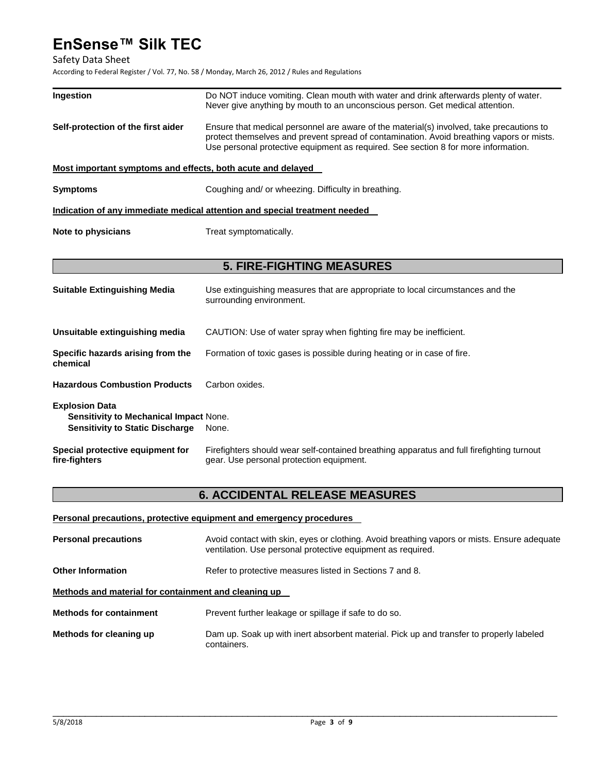Safety Data Sheet

According to Federal Register / Vol. 77, No. 58 / Monday, March 26, 2012 / Rules and Regulations

| Ingestion                                                                                                 | Do NOT induce vomiting. Clean mouth with water and drink afterwards plenty of water.<br>Never give anything by mouth to an unconscious person. Get medical attention.                                                                                                      |  |  |  |
|-----------------------------------------------------------------------------------------------------------|----------------------------------------------------------------------------------------------------------------------------------------------------------------------------------------------------------------------------------------------------------------------------|--|--|--|
| Self-protection of the first aider                                                                        | Ensure that medical personnel are aware of the material(s) involved, take precautions to<br>protect themselves and prevent spread of contamination. Avoid breathing vapors or mists.<br>Use personal protective equipment as required. See section 8 for more information. |  |  |  |
| Most important symptoms and effects, both acute and delayed                                               |                                                                                                                                                                                                                                                                            |  |  |  |
| <b>Symptoms</b>                                                                                           | Coughing and/ or wheezing. Difficulty in breathing.                                                                                                                                                                                                                        |  |  |  |
| Indication of any immediate medical attention and special treatment needed                                |                                                                                                                                                                                                                                                                            |  |  |  |
| Note to physicians                                                                                        | Treat symptomatically.                                                                                                                                                                                                                                                     |  |  |  |
|                                                                                                           |                                                                                                                                                                                                                                                                            |  |  |  |
| <b>5. FIRE-FIGHTING MEASURES</b>                                                                          |                                                                                                                                                                                                                                                                            |  |  |  |
| <b>Suitable Extinguishing Media</b>                                                                       | Use extinguishing measures that are appropriate to local circumstances and the<br>surrounding environment.                                                                                                                                                                 |  |  |  |
| Unsuitable extinguishing media                                                                            | CAUTION: Use of water spray when fighting fire may be inefficient.                                                                                                                                                                                                         |  |  |  |
| Specific hazards arising from the<br>chemical                                                             | Formation of toxic gases is possible during heating or in case of fire.                                                                                                                                                                                                    |  |  |  |
| <b>Hazardous Combustion Products</b>                                                                      | Carbon oxides.                                                                                                                                                                                                                                                             |  |  |  |
| <b>Explosion Data</b><br>Sensitivity to Mechanical Impact None.<br><b>Sensitivity to Static Discharge</b> | None.                                                                                                                                                                                                                                                                      |  |  |  |
| Special protective equipment for<br>fire-fighters                                                         | Firefighters should wear self-contained breathing apparatus and full firefighting turnout<br>gear. Use personal protection equipment.                                                                                                                                      |  |  |  |

## **6. ACCIDENTAL RELEASE MEASURES**

| Personal precautions, protective equipment and emergency procedures |                                                                                                                                                            |  |  |
|---------------------------------------------------------------------|------------------------------------------------------------------------------------------------------------------------------------------------------------|--|--|
| <b>Personal precautions</b>                                         | Avoid contact with skin, eyes or clothing. Avoid breathing vapors or mists. Ensure adequate<br>ventilation. Use personal protective equipment as required. |  |  |
| <b>Other Information</b>                                            | Refer to protective measures listed in Sections 7 and 8.                                                                                                   |  |  |
| Methods and material for containment and cleaning up                |                                                                                                                                                            |  |  |
| <b>Methods for containment</b>                                      | Prevent further leakage or spillage if safe to do so.                                                                                                      |  |  |
| Methods for cleaning up                                             | Dam up. Soak up with inert absorbent material. Pick up and transfer to properly labeled<br>containers.                                                     |  |  |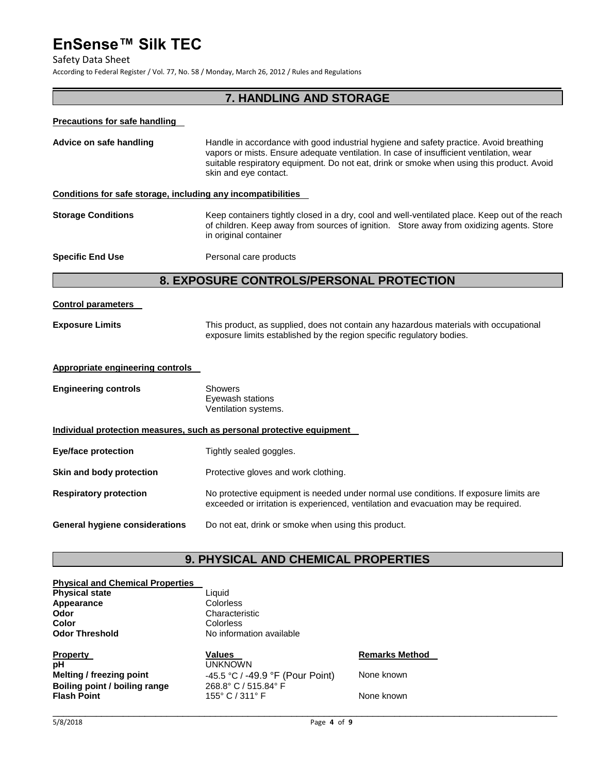## Safety Data Sheet

According to Federal Register / Vol. 77, No. 58 / Monday, March 26, 2012 / Rules and Regulations

## **7. HANDLING AND STORAGE**

| Precautions for safe handling |  |  |
|-------------------------------|--|--|
|                               |  |  |

| Advice on safe handling   | Handle in accordance with good industrial hygiene and safety practice. Avoid breathing<br>vapors or mists. Ensure adequate ventilation. In case of insufficient ventilation, wear<br>suitable respiratory equipment. Do not eat, drink or smoke when using this product. Avoid<br>skin and eye contact. |  |
|---------------------------|---------------------------------------------------------------------------------------------------------------------------------------------------------------------------------------------------------------------------------------------------------------------------------------------------------|--|
|                           | Conditions for safe storage, including any incompatibilities                                                                                                                                                                                                                                            |  |
| <b>Storage Conditions</b> | Keep containers tightly closed in a dry, cool and well-ventilated place. Keep out of the reach<br>of children. Keep away from sources of ignition. Store away from oxidizing agents. Store<br>in original container                                                                                     |  |
| <b>Specific End Use</b>   | Personal care products                                                                                                                                                                                                                                                                                  |  |

## **8. EXPOSURE CONTROLS/PERSONAL PROTECTION**

| <b>Control parameters</b> |
|---------------------------|
|                           |

**Exposure Limits Exposure Limits This product, as supplied, does not contain any hazardous materials with occupational** exposure limits established by the region specific regulatory bodies.

| Appropriate engineering controls |                                                                                                                                                                             |
|----------------------------------|-----------------------------------------------------------------------------------------------------------------------------------------------------------------------------|
| <b>Engineering controls</b>      | Showers<br>Eyewash stations<br>Ventilation systems.                                                                                                                         |
|                                  | Individual protection measures, such as personal protective equipment                                                                                                       |
| <b>Eye/face protection</b>       | Tightly sealed goggles.                                                                                                                                                     |
| Skin and body protection         | Protective gloves and work clothing.                                                                                                                                        |
| <b>Respiratory protection</b>    | No protective equipment is needed under normal use conditions. If exposure limits are<br>exceeded or irritation is experienced, ventilation and evacuation may be required. |
| General hygiene considerations   | Do not eat, drink or smoke when using this product.                                                                                                                         |

## **9. PHYSICAL AND CHEMICAL PROPERTIES**

| <b>Physical and Chemical Properties</b> |                                  |                       |
|-----------------------------------------|----------------------------------|-----------------------|
| <b>Physical state</b>                   | Liquid                           |                       |
| Appearance                              | Colorless                        |                       |
| Odor                                    | Characteristic                   |                       |
| Color                                   | Colorless                        |                       |
| <b>Odor Threshold</b>                   | No information available         |                       |
| <b>Property</b>                         | <b>Values</b>                    | <b>Remarks Method</b> |
| рH                                      | UNKNOWN                          |                       |
| Melting / freezing point                | -45.5 °C / -49.9 °F (Pour Point) | None known            |
| Boiling point / boiling range           | 268.8° C / 515.84° F             |                       |
| <b>Flash Point</b>                      | 155° C / 311° F                  | None known            |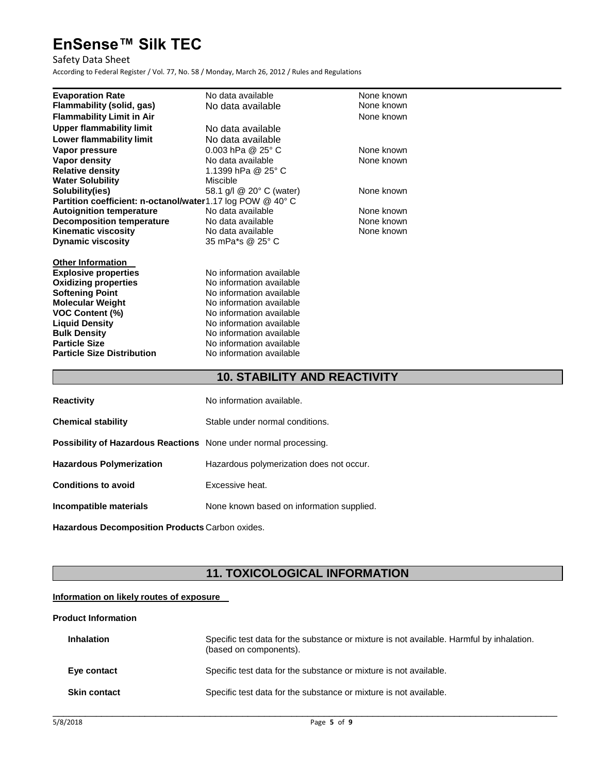## Safety Data Sheet

According to Federal Register / Vol. 77, No. 58 / Monday, March 26, 2012 / Rules and Regulations

| <b>Evaporation Rate</b>                                           | No data available        | None known |
|-------------------------------------------------------------------|--------------------------|------------|
| Flammability (solid, gas)                                         | No data available        | None known |
| <b>Flammability Limit in Air</b>                                  |                          | None known |
| <b>Upper flammability limit</b>                                   | No data available        |            |
| Lower flammability limit                                          | No data available        |            |
| Vapor pressure                                                    | $0.003$ hPa @ 25° C      | None known |
| Vapor density                                                     | No data available        | None known |
| <b>Relative density</b>                                           | 1.1399 hPa @ 25° C       |            |
| <b>Water Solubility</b>                                           | Miscible                 |            |
| Solubility(ies)                                                   | 58.1 g/l @ 20° C (water) | None known |
| <b>Partition coefficient: n-octanol/water1.17 log POW @ 40° C</b> |                          |            |
| <b>Autoignition temperature</b>                                   | No data available        | None known |
| <b>Decomposition temperature</b>                                  | No data available        | None known |
| <b>Kinematic viscosity</b>                                        | No data available        | None known |
| <b>Dynamic viscosity</b>                                          | 35 mPa*s @ 25° C         |            |
| <b>Other Information</b>                                          |                          |            |
| <b>Explosive properties</b>                                       | No information available |            |
| <b>Oxidizing properties</b>                                       | No information available |            |
| <b>Softening Point</b>                                            | No information available |            |
| <b>Molecular Weight</b>                                           | No information available |            |
| <b>VOC Content (%)</b>                                            | No information available |            |
| <b>Liquid Density</b>                                             | No information available |            |
| <b>Bulk Density</b>                                               | No information available |            |
| <b>Particle Size</b>                                              | No information available |            |
| <b>Particle Size Distribution</b>                                 | No information available |            |

## **10. STABILITY AND REACTIVITY**

| No information available.                                               |
|-------------------------------------------------------------------------|
| Stable under normal conditions.                                         |
| <b>Possibility of Hazardous Reactions</b> None under normal processing. |
| Hazardous polymerization does not occur.                                |
| Excessive heat.                                                         |
| None known based on information supplied.                               |
|                                                                         |

**Hazardous Decomposition Products** Carbon oxides.

# **11. TOXICOLOGICAL INFORMATION**

## **Information on likely routes of exposure**

### **Product Information**

| <b>Inhalation</b>   | Specific test data for the substance or mixture is not available. Harmful by inhalation.<br>(based on components). |
|---------------------|--------------------------------------------------------------------------------------------------------------------|
| Eye contact         | Specific test data for the substance or mixture is not available.                                                  |
| <b>Skin contact</b> | Specific test data for the substance or mixture is not available.                                                  |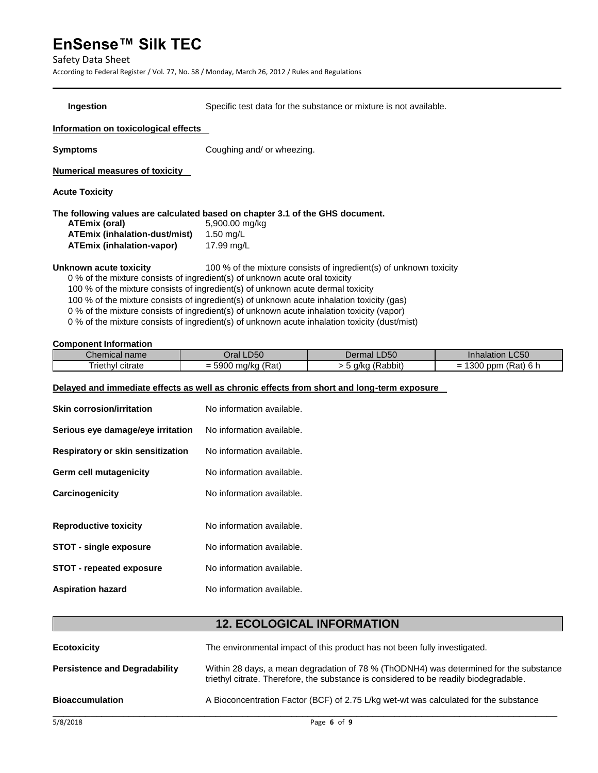Safety Data Sheet

According to Federal Register / Vol. 77, No. 58 / Monday, March 26, 2012 / Rules and Regulations

**Ingestion Specific test data for the substance or mixture is not available. Information on toxicological effects Symptoms Coughing and/ or wheezing. Numerical measures of toxicity Acute Toxicity The following values are calculated based on chapter 3.1 of the GHS document. ATEmix (oral)** 5,900.00 mg/kg **ATEmix (inhalation-dust/mist)** 1.50 mg/L **ATEmix (inhalation-vapor)** 17.99 mg/L **Unknown acute toxicity** 100 % of the mixture consists of ingredient(s) of unknown toxicity 0 % of the mixture consists of ingredient(s) of unknown acute oral toxicity 100 % of the mixture consists of ingredient(s) of unknown acute dermal toxicity 100 % of the mixture consists of ingredient(s) of unknown acute inhalation toxicity (gas) 0 % of the mixture consists of ingredient(s) of unknown acute inhalation toxicity (vapor) 0 % of the mixture consists of ingredient(s) of unknown acute inhalation toxicity (dust/mist) **Component Information** 

| Chemical name    | Oral LD50             | Dermal LD50                                 | <b>Inhalation LC50</b>                                       |
|------------------|-----------------------|---------------------------------------------|--------------------------------------------------------------|
| ⊺rieth∨l citrate | (Rat)<br>- 5900 mg/ka | $\overline{\phantom{a}}$<br>(Rabbit<br>a/ka | 300<br>-6 h<br>(Rat)<br>ppm<br>$\overline{\phantom{a}}$<br>- |

#### **Delayed and immediate effects as well as chronic effects from short and long-term exposure**

| <b>Skin corrosion/irritation</b>  | No information available. |
|-----------------------------------|---------------------------|
| Serious eye damage/eye irritation | No information available. |
| Respiratory or skin sensitization | No information available. |
| Germ cell mutagenicity            | No information available. |
| Carcinogenicity                   | No information available. |
|                                   |                           |
| <b>Reproductive toxicity</b>      | No information available. |
| <b>STOT - single exposure</b>     | No information available. |
| <b>STOT - repeated exposure</b>   | No information available. |
| <b>Aspiration hazard</b>          | No information available. |

## **12. ECOLOGICAL INFORMATION**

| <b>Bioaccumulation</b>               | A Bioconcentration Factor (BCF) of 2.75 L/kg wet-wt was calculated for the substance                                                                                           |
|--------------------------------------|--------------------------------------------------------------------------------------------------------------------------------------------------------------------------------|
| <b>Persistence and Degradability</b> | Within 28 days, a mean degradation of 78 % (ThODNH4) was determined for the substance<br>triethyl citrate. Therefore, the substance is considered to be readily biodegradable. |
| <b>Ecotoxicity</b>                   | The environmental impact of this product has not been fully investigated.                                                                                                      |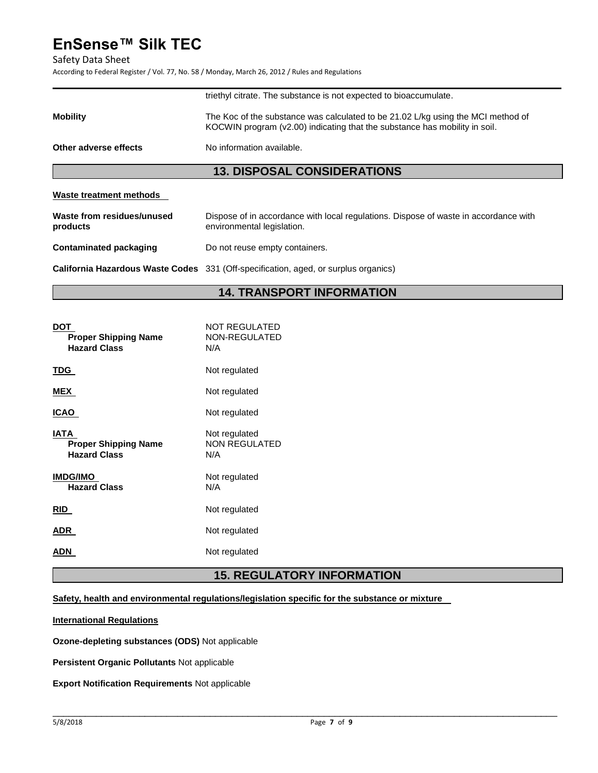### Safety Data Sheet

According to Federal Register / Vol. 77, No. 58 / Monday, March 26, 2012 / Rules and Regulations

|                       | <b>13. DISPOSAL CONSIDERATIONS</b>                                                                                                                               |
|-----------------------|------------------------------------------------------------------------------------------------------------------------------------------------------------------|
| Other adverse effects | No information available.                                                                                                                                        |
| <b>Mobility</b>       | The Koc of the substance was calculated to be 21.02 L/kg using the MCI method of<br>KOCWIN program $(v2.00)$ indicating that the substance has mobility in soil. |
|                       | triethyl citrate. The substance is not expected to bioaccumulate.                                                                                                |

### **Waste treatment methods**

| Waste from residues/unused<br>products | Dispose of in accordance with local regulations. Dispose of waste in accordance with<br>environmental legislation. |
|----------------------------------------|--------------------------------------------------------------------------------------------------------------------|
| Contaminated packaging                 | Do not reuse empty containers.                                                                                     |
|                                        | <b>California Hazardous Waste Codes</b> 331 (Off-specification, aged, or surplus organics)                         |

**14. TRANSPORT INFORMATION** 

| DOT<br><b>Proper Shipping Name</b><br><b>Hazard Class</b>  | NOT REGULATED<br>NON-REGULATED<br>N/A        |
|------------------------------------------------------------|----------------------------------------------|
| TDG                                                        | Not regulated                                |
| MEX                                                        | Not regulated                                |
| <b>ICAO</b>                                                | Not regulated                                |
| IATA<br><b>Proper Shipping Name</b><br><b>Hazard Class</b> | Not regulated<br><b>NON REGULATED</b><br>N/A |
| <b>IMDG/IMO</b><br><b>Hazard Class</b>                     | Not regulated<br>N/A                         |
| <b>RID</b>                                                 | Not regulated                                |
| ADR.                                                       | Not regulated                                |
| ADN                                                        | Not regulated                                |

**15. REGULATORY INFORMATION** 

**Safety, health and environmental regulations/legislation specific for the substance or mixture** 

**International Regulations**

**Ozone-depleting substances (ODS)** Not applicable

**Persistent Organic Pollutants** Not applicable

**Export Notification Requirements** Not applicable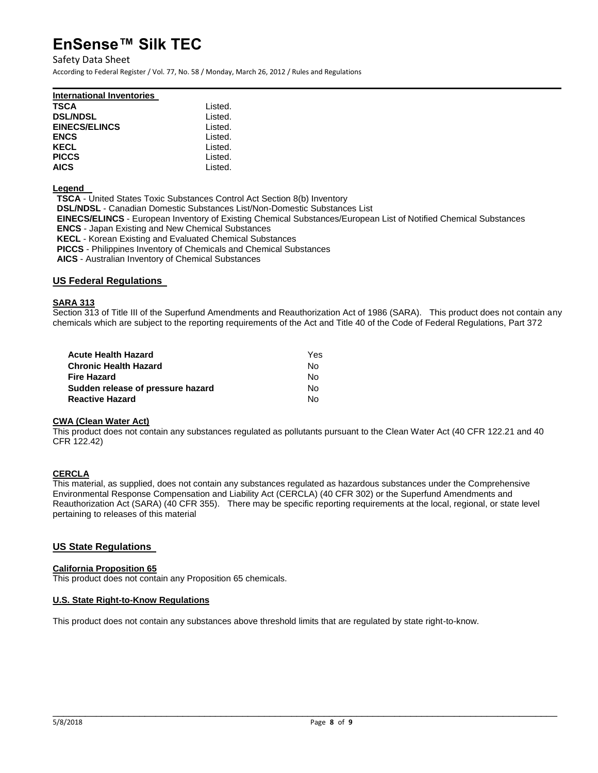#### Safety Data Sheet

According to Federal Register / Vol. 77, No. 58 / Monday, March 26, 2012 / Rules and Regulations

| <b>International Inventories</b> |         |
|----------------------------------|---------|
| <b>TSCA</b>                      | Listed. |
| <b>DSL/NDSL</b>                  | Listed. |
| <b>EINECS/ELINCS</b>             | Listed. |
| <b>ENCS</b>                      | Listed. |
| <b>KECL</b>                      | Listed. |
| <b>PICCS</b>                     | Listed. |
| <b>AICS</b>                      | Listed. |

**Legend** 

**TSCA** - United States Toxic Substances Control Act Section 8(b) Inventory **DSL/NDSL** - Canadian Domestic Substances List/Non-Domestic Substances List **EINECS/ELINCS** - European Inventory of Existing Chemical Substances/European List of Notified Chemical Substances **ENCS** - Japan Existing and New Chemical Substances **KECL** - Korean Existing and Evaluated Chemical Substances **PICCS** - Philippines Inventory of Chemicals and Chemical Substances **AICS** - Australian Inventory of Chemical Substances

### **US Federal Regulations**

### **SARA 313**

Section 313 of Title III of the Superfund Amendments and Reauthorization Act of 1986 (SARA). This product does not contain any chemicals which are subject to the reporting requirements of the Act and Title 40 of the Code of Federal Regulations, Part 372

| Yes. |
|------|
| N٥   |
| No.  |
| N٥   |
| N٥   |
|      |

#### **CWA (Clean Water Act)**

This product does not contain any substances regulated as pollutants pursuant to the Clean Water Act (40 CFR 122.21 and 40 CFR 122.42)

### **CERCLA**

This material, as supplied, does not contain any substances regulated as hazardous substances under the Comprehensive Environmental Response Compensation and Liability Act (CERCLA) (40 CFR 302) or the Superfund Amendments and Reauthorization Act (SARA) (40 CFR 355). There may be specific reporting requirements at the local, regional, or state level pertaining to releases of this material

### **US State Regulations**

#### **California Proposition 65**

This product does not contain any Proposition 65 chemicals.

#### **U.S. State Right-to-Know Regulations**

This product does not contain any substances above threshold limits that are regulated by state right-to-know.